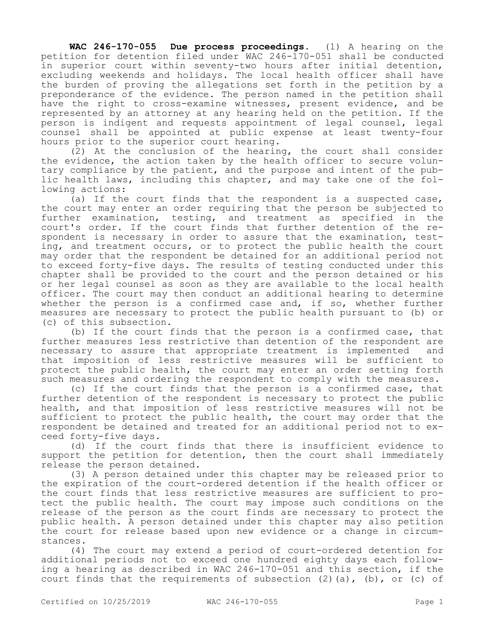**WAC 246-170-055 Due process proceedings.** (1) A hearing on the petition for detention filed under WAC 246-170-051 shall be conducted in superior court within seventy-two hours after initial detention, excluding weekends and holidays. The local health officer shall have the burden of proving the allegations set forth in the petition by a preponderance of the evidence. The person named in the petition shall have the right to cross-examine witnesses, present evidence, and be represented by an attorney at any hearing held on the petition. If the person is indigent and requests appointment of legal counsel, legal counsel shall be appointed at public expense at least twenty-four hours prior to the superior court hearing.

(2) At the conclusion of the hearing, the court shall consider the evidence, the action taken by the health officer to secure voluntary compliance by the patient, and the purpose and intent of the public health laws, including this chapter, and may take one of the following actions:

(a) If the court finds that the respondent is a suspected case, the court may enter an order requiring that the person be subjected to further examination, testing, and treatment as specified in the court's order. If the court finds that further detention of the respondent is necessary in order to assure that the examination, testing, and treatment occurs, or to protect the public health the court may order that the respondent be detained for an additional period not to exceed forty-five days. The results of testing conducted under this chapter shall be provided to the court and the person detained or his or her legal counsel as soon as they are available to the local health officer. The court may then conduct an additional hearing to determine whether the person is a confirmed case and, if so, whether further measures are necessary to protect the public health pursuant to (b) or (c) of this subsection.

(b) If the court finds that the person is a confirmed case, that further measures less restrictive than detention of the respondent are necessary to assure that appropriate treatment is implemented and that imposition of less restrictive measures will be sufficient to protect the public health, the court may enter an order setting forth such measures and ordering the respondent to comply with the measures.

(c) If the court finds that the person is a confirmed case, that further detention of the respondent is necessary to protect the public health, and that imposition of less restrictive measures will not be sufficient to protect the public health, the court may order that the respondent be detained and treated for an additional period not to exceed forty-five days.

(d) If the court finds that there is insufficient evidence to support the petition for detention, then the court shall immediately release the person detained.

(3) A person detained under this chapter may be released prior to the expiration of the court-ordered detention if the health officer or the court finds that less restrictive measures are sufficient to protect the public health. The court may impose such conditions on the release of the person as the court finds are necessary to protect the public health. A person detained under this chapter may also petition the court for release based upon new evidence or a change in circumstances.

(4) The court may extend a period of court-ordered detention for additional periods not to exceed one hundred eighty days each following a hearing as described in WAC 246-170-051 and this section, if the court finds that the requirements of subsection  $(2)$   $(a)$ ,  $(b)$ , or  $(c)$  of